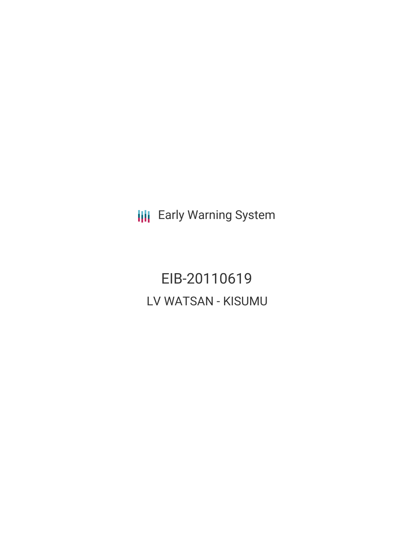**III** Early Warning System

EIB-20110619 LV WATSAN - KISUMU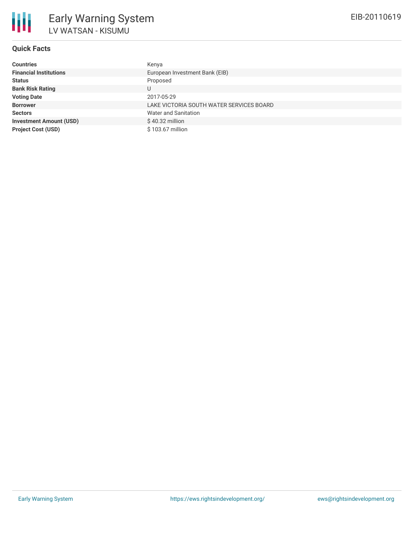

# **Quick Facts**

| <b>Countries</b>               | Kenya                                    |
|--------------------------------|------------------------------------------|
| <b>Financial Institutions</b>  | European Investment Bank (EIB)           |
| <b>Status</b>                  | Proposed                                 |
| <b>Bank Risk Rating</b>        | U                                        |
| <b>Voting Date</b>             | 2017-05-29                               |
| <b>Borrower</b>                | LAKE VICTORIA SOUTH WATER SERVICES BOARD |
| <b>Sectors</b>                 | Water and Sanitation                     |
| <b>Investment Amount (USD)</b> | $$40.32$ million                         |
| <b>Project Cost (USD)</b>      | \$103.67 million                         |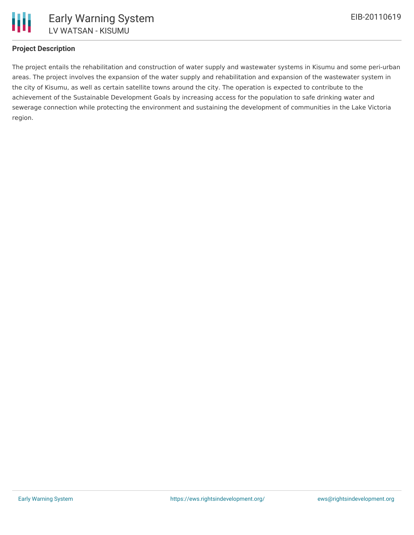## **Project Description**

The project entails the rehabilitation and construction of water supply and wastewater systems in Kisumu and some peri-urban areas. The project involves the expansion of the water supply and rehabilitation and expansion of the wastewater system in the city of Kisumu, as well as certain satellite towns around the city. The operation is expected to contribute to the achievement of the Sustainable Development Goals by increasing access for the population to safe drinking water and sewerage connection while protecting the environment and sustaining the development of communities in the Lake Victoria region.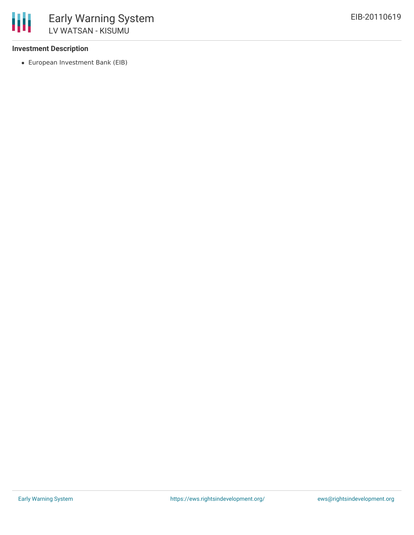### **Investment Description**

European Investment Bank (EIB)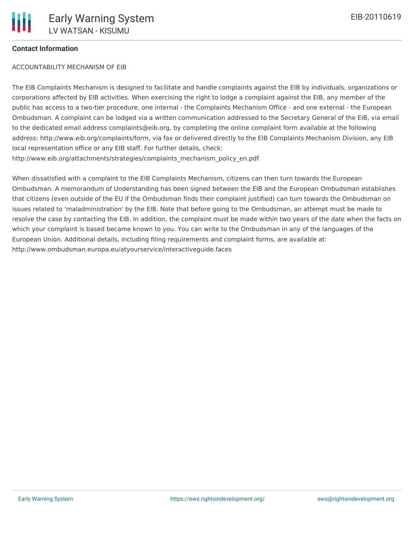### **Contact Information**

#### ACCOUNTABILITY MECHANISM OF EIB

The EIB Complaints Mechanism is designed to facilitate and handle complaints against the EIB by individuals, organizations or corporations affected by EIB activities. When exercising the right to lodge a complaint against the EIB, any member of the public has access to a two-tier procedure, one internal - the Complaints Mechanism Office - and one external - the European Ombudsman. A complaint can be lodged via a written communication addressed to the Secretary General of the EIB, via email to the dedicated email address complaints@eib.org, by completing the online complaint form available at the following address: http://www.eib.org/complaints/form, via fax or delivered directly to the EIB Complaints Mechanism Division, any EIB local representation office or any EIB staff. For further details, check: http://www.eib.org/attachments/strategies/complaints\_mechanism\_policy\_en.pdf

When dissatisfied with a complaint to the EIB Complaints Mechanism, citizens can then turn towards the European Ombudsman. A memorandum of Understanding has been signed between the EIB and the European Ombudsman establishes that citizens (even outside of the EU if the Ombudsman finds their complaint justified) can turn towards the Ombudsman on issues related to 'maladministration' by the EIB. Note that before going to the Ombudsman, an attempt must be made to resolve the case by contacting the EIB. In addition, the complaint must be made within two years of the date when the facts on which your complaint is based became known to you. You can write to the Ombudsman in any of the languages of the European Union. Additional details, including filing requirements and complaint forms, are available at: http://www.ombudsman.europa.eu/atyourservice/interactiveguide.faces